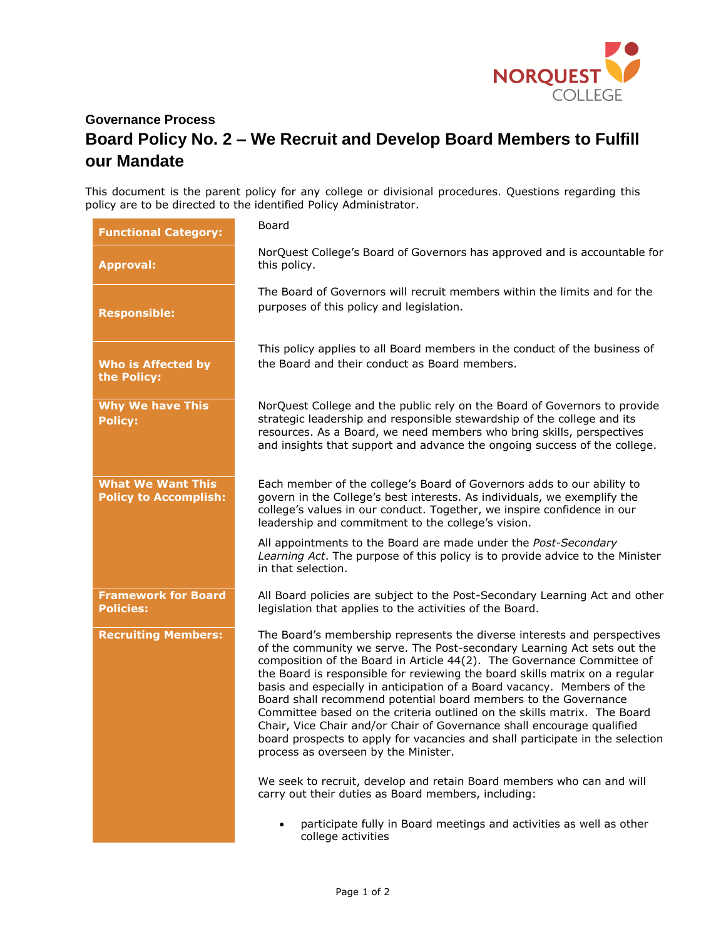

## **Governance Process Board Policy No. 2 – We Recruit and Develop Board Members to Fulfill our Mandate**

This document is the parent policy for any college or divisional procedures. Questions regarding this policy are to be directed to the identified Policy Administrator.

| <b>Functional Category:</b>                              | Board                                                                                                                                                                                                                                                                                                                                                                                                                                                                                                                                                                                                                                                                                                                                     |
|----------------------------------------------------------|-------------------------------------------------------------------------------------------------------------------------------------------------------------------------------------------------------------------------------------------------------------------------------------------------------------------------------------------------------------------------------------------------------------------------------------------------------------------------------------------------------------------------------------------------------------------------------------------------------------------------------------------------------------------------------------------------------------------------------------------|
| <b>Approval:</b>                                         | NorQuest College's Board of Governors has approved and is accountable for<br>this policy.                                                                                                                                                                                                                                                                                                                                                                                                                                                                                                                                                                                                                                                 |
| <b>Responsible:</b>                                      | The Board of Governors will recruit members within the limits and for the<br>purposes of this policy and legislation.                                                                                                                                                                                                                                                                                                                                                                                                                                                                                                                                                                                                                     |
| <b>Who is Affected by</b><br>the Policy:                 | This policy applies to all Board members in the conduct of the business of<br>the Board and their conduct as Board members.                                                                                                                                                                                                                                                                                                                                                                                                                                                                                                                                                                                                               |
| <b>Why We have This</b><br><b>Policy:</b>                | NorQuest College and the public rely on the Board of Governors to provide<br>strategic leadership and responsible stewardship of the college and its<br>resources. As a Board, we need members who bring skills, perspectives<br>and insights that support and advance the ongoing success of the college.                                                                                                                                                                                                                                                                                                                                                                                                                                |
| <b>What We Want This</b><br><b>Policy to Accomplish:</b> | Each member of the college's Board of Governors adds to our ability to<br>govern in the College's best interests. As individuals, we exemplify the<br>college's values in our conduct. Together, we inspire confidence in our<br>leadership and commitment to the college's vision.                                                                                                                                                                                                                                                                                                                                                                                                                                                       |
|                                                          | All appointments to the Board are made under the Post-Secondary<br>Learning Act. The purpose of this policy is to provide advice to the Minister<br>in that selection.                                                                                                                                                                                                                                                                                                                                                                                                                                                                                                                                                                    |
| <b>Framework for Board</b><br><b>Policies:</b>           | All Board policies are subject to the Post-Secondary Learning Act and other<br>legislation that applies to the activities of the Board.                                                                                                                                                                                                                                                                                                                                                                                                                                                                                                                                                                                                   |
| <b>Recruiting Members:</b>                               | The Board's membership represents the diverse interests and perspectives<br>of the community we serve. The Post-secondary Learning Act sets out the<br>composition of the Board in Article 44(2). The Governance Committee of<br>the Board is responsible for reviewing the board skills matrix on a regular<br>basis and especially in anticipation of a Board vacancy. Members of the<br>Board shall recommend potential board members to the Governance<br>Committee based on the criteria outlined on the skills matrix. The Board<br>Chair, Vice Chair and/or Chair of Governance shall encourage qualified<br>board prospects to apply for vacancies and shall participate in the selection<br>process as overseen by the Minister. |
|                                                          | We seek to recruit, develop and retain Board members who can and will<br>carry out their duties as Board members, including:                                                                                                                                                                                                                                                                                                                                                                                                                                                                                                                                                                                                              |
|                                                          | participate fully in Board meetings and activities as well as other<br>college activities                                                                                                                                                                                                                                                                                                                                                                                                                                                                                                                                                                                                                                                 |